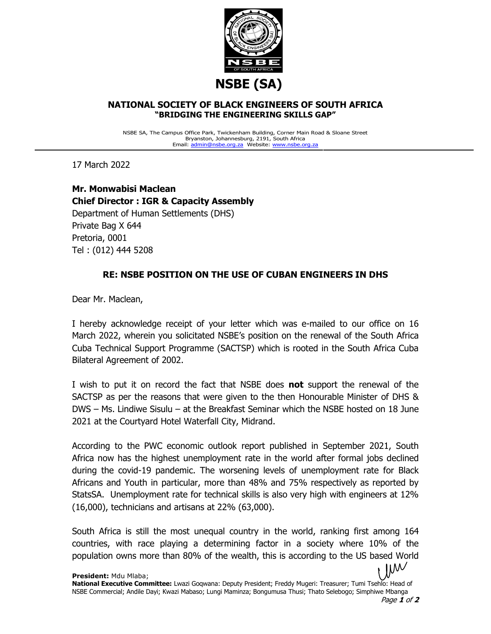

## **NATIONAL SOCIETY OF BLACK ENGINEERS OF SOUTH AFRICA "BRIDGING THE ENGINEERING SKILLS GAP"**

NSBE SA, The Campus Office Park, Twickenham Building, Corner Main Road & Sloane Street Bryanston, Johannesburg, 2191, South Africa Email: [admin@nsbe.org.za](mailto:admin@nsbe.org.za) Website[: www.nsbe.org.za](http://www.bmfonline.co.za/)

17 March 2022

**Mr. Monwabisi Maclean Chief Director : IGR & Capacity Assembly** Department of Human Settlements (DHS) Private Bag X 644 Pretoria, 0001 Tel : (012) 444 5208

## **RE: NSBE POSITION ON THE USE OF CUBAN ENGINEERS IN DHS**

Dear Mr. Maclean,

I hereby acknowledge receipt of your letter which was e-mailed to our office on 16 March 2022, wherein you solicitated NSBE's position on the renewal of the South Africa Cuba Technical Support Programme (SACTSP) which is rooted in the South Africa Cuba Bilateral Agreement of 2002.

I wish to put it on record the fact that NSBE does **not** support the renewal of the SACTSP as per the reasons that were given to the then Honourable Minister of DHS & DWS – Ms. Lindiwe Sisulu – at the Breakfast Seminar which the NSBE hosted on 18 June 2021 at the Courtyard Hotel Waterfall City, Midrand.

According to the PWC economic outlook report published in September 2021, South Africa now has the highest unemployment rate in the world after formal jobs declined during the covid-19 pandemic. The worsening levels of unemployment rate for Black Africans and Youth in particular, more than 48% and 75% respectively as reported by StatsSA. Unemployment rate for technical skills is also very high with engineers at 12% (16,000), technicians and artisans at 22% (63,000).

South Africa is still the most unequal country in the world, ranking first among 164 countries, with race playing a determining factor in a society where 10% of the population owns more than 80% of the wealth, this is according to the US based World

 $I_{\text{MW}}$